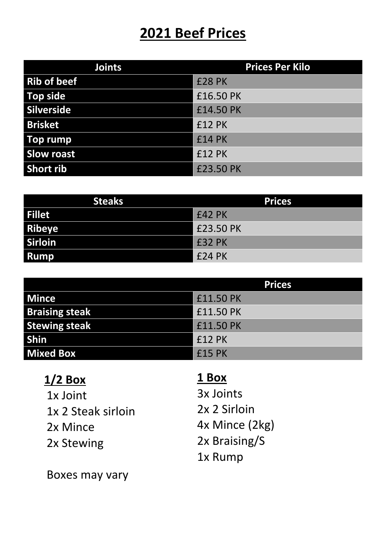### **2021 Beef Prices**

| <b>Joints</b>      | <b>Prices Per Kilo</b> |
|--------------------|------------------------|
| <b>Rib of beef</b> | <b>£28 PK</b>          |
| Top side           | £16.50 PK              |
| Silverside         | £14.50 PK              |
| <b>Brisket</b>     | <b>£12 PK</b>          |
| Top rump           | <b>£14 PK</b>          |
| <b>Slow roast</b>  | <b>£12 PK</b>          |
| <b>Short rib</b>   | £23.50 PK              |

| <b>Steaks</b>  | <b>Prices</b> |
|----------------|---------------|
| <b>Fillet</b>  | £42 PK        |
| <b>Ribeye</b>  | £23.50 PK     |
| <b>Sirloin</b> | E32 PK        |
| <b>Rump</b>    | £24 PK        |

|                       | <b>Prices</b> |
|-----------------------|---------------|
| <b>Mince</b>          | £11.50 PK     |
| <b>Braising steak</b> | £11.50 PK     |
| <b>Stewing steak</b>  | £11.50 PK     |
| <b>Shin</b>           | £12 PK        |
| <b>Mixed Box</b>      | £15 PK        |

#### **1/2 Box**

1x Joint 1x 2 Steak sirloin 2x Mince 2x Stewing

Boxes may vary

### **1 Box**

3x Joints 2x 2 Sirloin 4x Mince (2kg) 2x Braising/S 1x Rump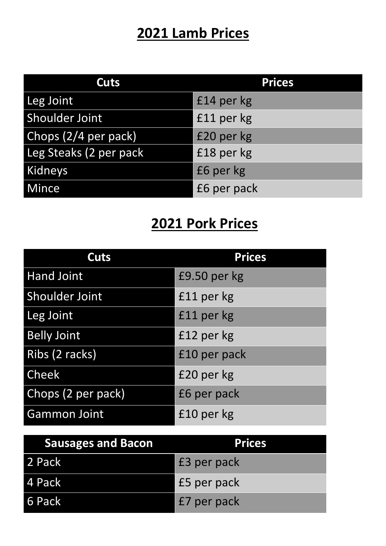# **2021 Lamb Prices**

| Cuts                   | <b>Prices</b> |
|------------------------|---------------|
| Leg Joint              | £14 per kg    |
| Shoulder Joint         | £11 per kg    |
| Chops (2/4 per pack)   | £20 per kg    |
| Leg Steaks (2 per pack | £18 per kg    |
| Kidneys                | £6 per kg     |
| Mince                  | £6 per pack   |

# **2021 Pork Prices**

| Cuts                  | <b>Prices</b> |
|-----------------------|---------------|
| <b>Hand Joint</b>     | £9.50 per kg  |
| <b>Shoulder Joint</b> | £11 per kg    |
| Leg Joint             | £11 per kg    |
| <b>Belly Joint</b>    | £12 per kg    |
| Ribs (2 racks)        | £10 per pack  |
| <b>Cheek</b>          | £20 per kg    |
| Chops (2 per pack)    | £6 per pack   |
| <b>Gammon Joint</b>   | £10 per kg    |

| <b>Sausages and Bacon</b> | <b>Prices</b> |
|---------------------------|---------------|
| 2 Pack                    | E3 per pack   |
| l 4 Pack                  | E5 per pack   |
| 6 Pack                    | E7 per pack   |